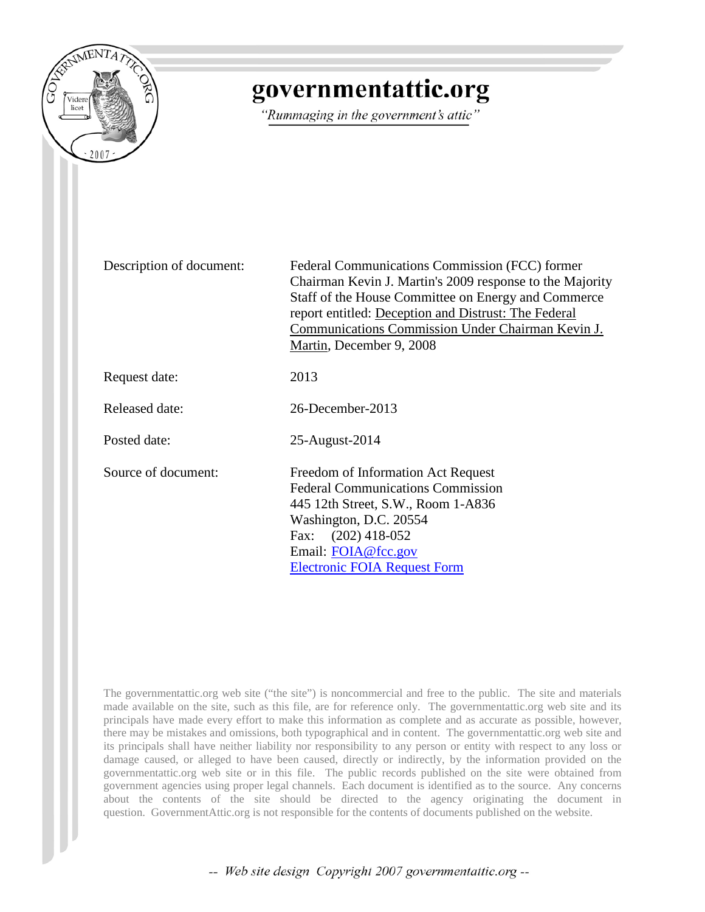

# governmentattic.org

"Rummaging in the government's attic"

Description of document: Federal Communications Commission (FCC) former Chairman Kevin J. Martin's 2009 response to the Majority Staff of the House Committee on Energy and Commerce report entitled: Deception and Distrust: The Federal Communications Commission Under Chairman Kevin J. Martin, December 9, 2008

Request date: 2013

Released date: 26-December-2013

Posted date: 25-August-2014

Source of document: Freedom of Information Act Request Federal Communications Commission 445 12th Street, S.W., Room 1-A836 Washington, D.C. 20554 Fax: (202) 418-052 Email: [FOIA@fcc.gov](mailto:FOIA@fcc.gov?subject=Freedom%20of%20Informaion%20Act%20Request) [Electronic FOIA Request Form](http://transition.fcc.gov/foia/%23reqform)

The governmentattic.org web site ("the site") is noncommercial and free to the public. The site and materials made available on the site, such as this file, are for reference only. The governmentattic.org web site and its principals have made every effort to make this information as complete and as accurate as possible, however, there may be mistakes and omissions, both typographical and in content. The governmentattic.org web site and its principals shall have neither liability nor responsibility to any person or entity with respect to any loss or damage caused, or alleged to have been caused, directly or indirectly, by the information provided on the governmentattic.org web site or in this file. The public records published on the site were obtained from government agencies using proper legal channels. Each document is identified as to the source. Any concerns about the contents of the site should be directed to the agency originating the document in question. GovernmentAttic.org is not responsible for the contents of documents published on the website.

-- Web site design Copyright 2007 governmentattic.org --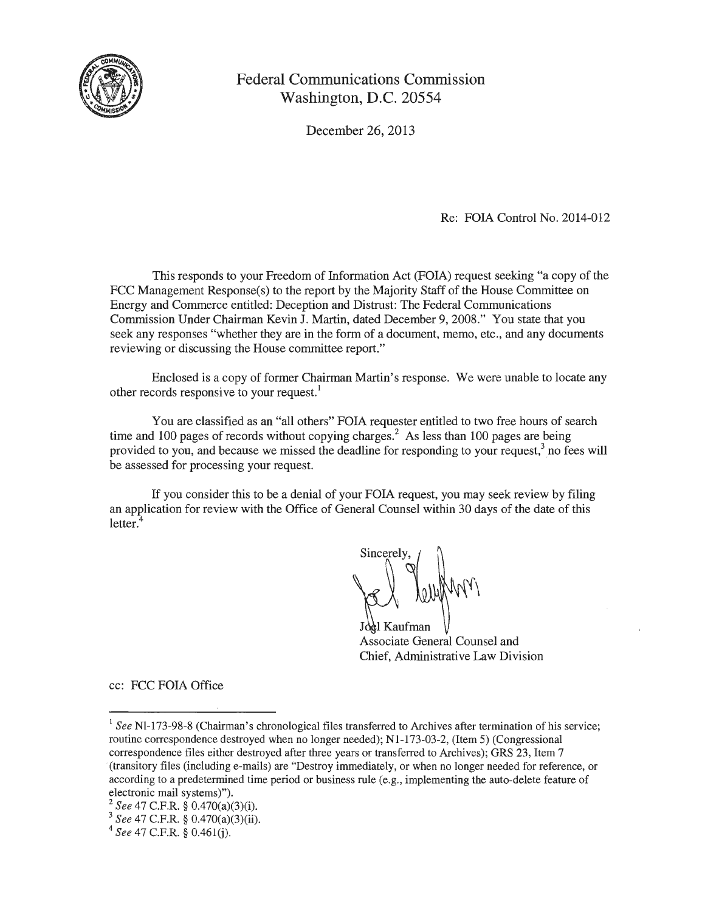

## Federal Communications Commission Washington, D.C. 20554

December 26, 2013

Re: FOIA Control No. 2014-012

This responds to your Freedom of Information Act (FOIA) request seeking "a copy of the FCC Management Response(s) to the report by the Majority Staff of the House Committee on Energy and Commerce entitled: Deception and Distrust: The Federal Communications Commission Under Chairman Kevin J. Martin, dated December 9, 2008." You state that you seek any responses "whether they are in the form of a document, memo, etc., and any documents reviewing or discussing the House committee report."

Enclosed is a copy of former Chairman Martin's response. We were unable to locate any other records responsive to your request.<sup>1</sup>

You are classified as an "all others" FOIA requester entitled to two free hours of search time and 100 pages of records without copying charges.<sup>2</sup> As less than 100 pages are being provided to you, and because we missed the deadline for responding to your request,<sup>3</sup> no fees will be assessed for processing your request.

If you consider this to be a denial of your FOIA request, you may seek review by filing an application for review with the Office of General Counsel within 30 days of the date of this letter.

Sincerely,

Associate General Counsel and Chief, Administrative Law Division

cc: FCC FOIA Office

<sup>&</sup>lt;sup>1</sup> See Nl-173-98-8 (Chairman's chronological files transferred to Archives after termination of his service; routine correspondence destroyed when no longer needed); N1-173-03-2, (Item 5) (Congressional correspondence files either destroyed after three years or transferred to Archives); GRS 23, Item 7 -(transitory files (including e-mails) are "Destroy immediately, or when no longer needed for reference, or according to a predetermined time period or business rule (e.g., implementing the auto-delete feature of electronic mail systems)").

<sup>&</sup>lt;sup>2</sup> *See* 47 C.F.R. § 0.470(a)(3)(i).<br><sup>3</sup> *See* 47 C.F.R. § 0.470(a)(3)(ii). 4 *See* 47 C.F.R. § 0.461(j).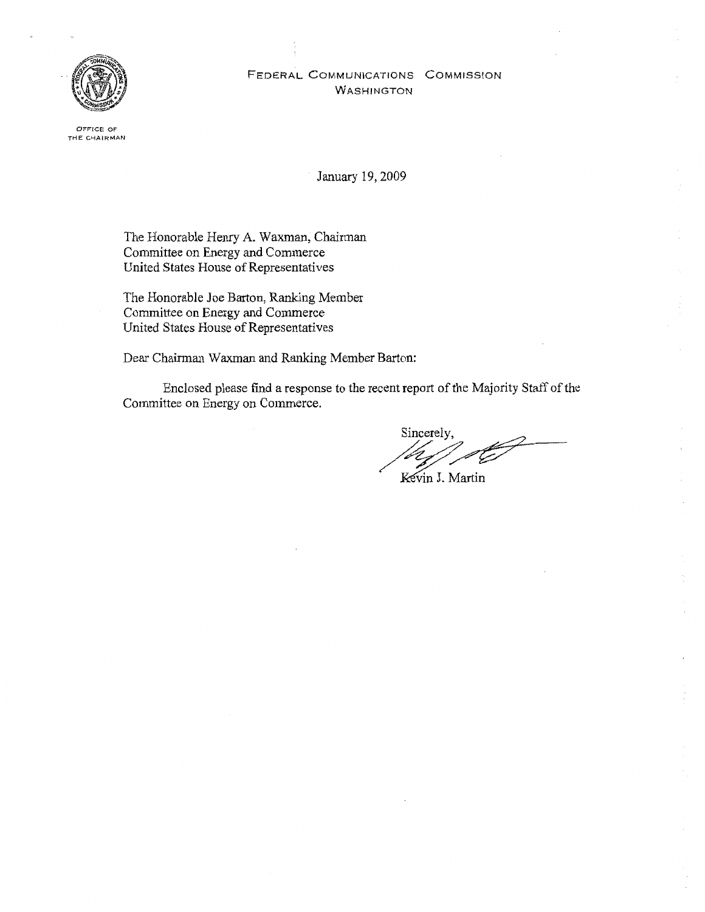## FEDERAL COMMUNICATIONS COMMISSION WASHINGTON



0FFfCE OF THE CHAIRMAN

January 19, 2009

The Honorable Henry A. Waxman, Chairman Committee on Energy and Commerce United States House of Representatives

The Honorable Joe Barton, Ranking Member Committee on Energy and Commerce United States House of Representatives

Dear Chairman Waxman and Ranking Member Barton:

Enclosed please fmd a response to the recent report of the Majority Staff of the Committee on Energy on Commerce.

Sincerely,

Kevin J. Martin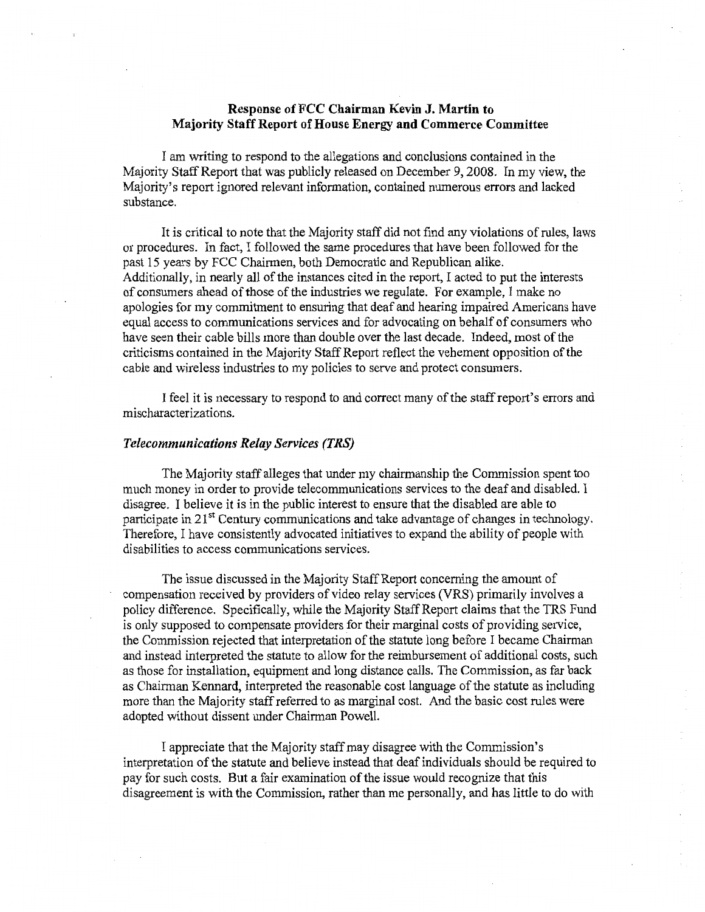## Response of FCC Chairman Kevin J. Martin to Majority Staff Report of House Energy **and** Commerce Committee

I am writing to respond to the allegations and conclusions contained in the Majority Staff Report that was publicly released on December 9, 2008. In my view, the Majority's report ignored relevant information, contained numerous errors and lacked substance.

It is critical to note that the Majority staff did not find any violations of rules, laws or procedures. In fact, I followed the same procedures that have been followed for the past 15 years by FCC Chairmen, both Democratic and Republican alike. Additionally, in nearly all of the instances cited in the report, I acted to put the interests of consumers ahead of those of the industries we regulate. For example, I make no apologies for my commitment to ensuring that deaf and hearing impaired Americans have equal access to communications services and for advocating on behalf of consumers who have seen their cable bills more than double over the last decade. Indeed, most of the criticisms contained in the Majority Staff Report reflect the vehement opposition of the cable and wireless industries to my policies to serve and protect consumers.

I feel it is necessary to respond to and correct many of the staff report's errors and mischaracterizations.

#### *Telecommunications Relay Services (TRS)*

The Majority staff alleges that under my chairmanship the Commission spent too much money in order to provide telecommunications services to the deaf and disabled. I disagree. I believe it is in the public interest to ensure that the disabled are able to participate in  $21<sup>st</sup>$  Century communications and take advantage of changes in technology. Therefore, I have consistently advocated initiatives to expand the ability of people with disabilities to access communications services.

The issue discussed in the Majority Staff Report concerning the amount of compensation received by providers of video relay services (VRS) primarily involves a policy difference. Specifically, while the Majority Staff Report claims that the TRS Fund is only supposed to compensate providers for their marginal costs of providing service, the Commission rejected that interpretation of the statute long before I became Chairman and instead interpreted the statute to allow for the reimbursement of additional costs, such as those for installation, equipment and long distance calls. The Commission, as far back as Chainnan Kennard, interpreted the reasonable cost language of the statute as including more than the Majority staff referred to as marginal cost. And the basic cost rules were adopted without dissent under Chairman Powell.

I appreciate that the Majority staff may disagree with the Commission's interpretation of the statute and believe instead that deaf individuals should be required to pay for such costs. But a fair examination of the issue would recognize that this disagreement is with the Commission, rather than me personally, and has little to do with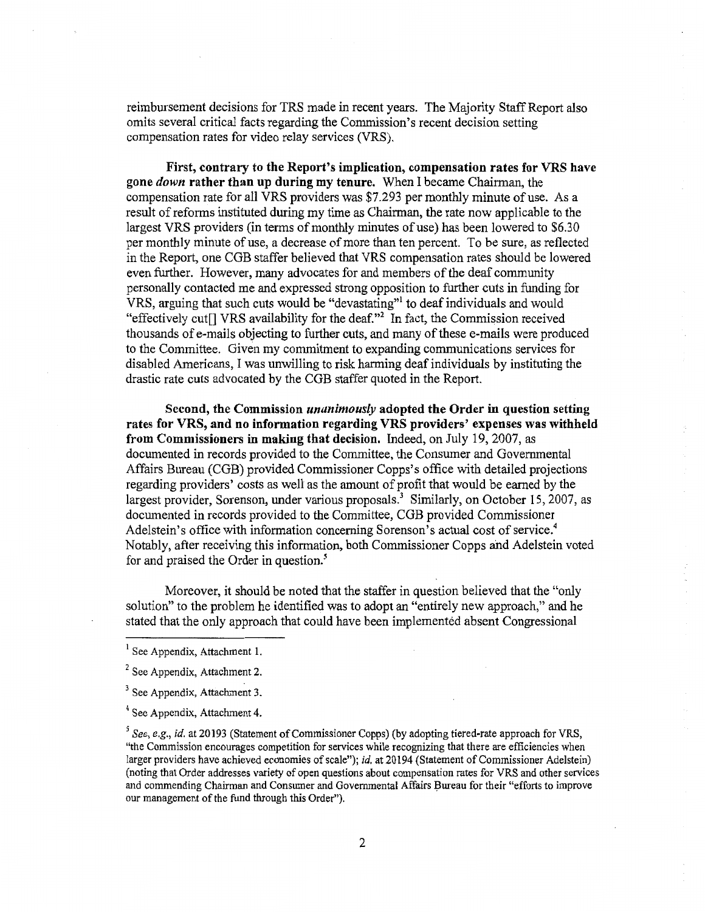reimbursement decisions for TRS made in recent years. The Majority Staff Report also omits several critical facts regarding the Commission's recent decision setting compensation rates for video relay services (VRS).

First, contrary to the Report's implication, compensation rates for VRS have gone *down* rather than up during my tenure. When I became Chairman, the compensation rate for all VRS providers was \$7.293 per monthly minute of use. As a result of reforms instituted during my time as Chairman, the rate now applicable to the largest VRS providers (in terms of monthly minutes of use) has been lowered to \$6.30 per monthly minute of use, a decrease of more than ten percent. To be sure, as reflected in the Report, one CGB staffer believed that VRS compensation rates should be lowered even further. However, many advocates for and members of the deaf community personally contacted me and expressed strong opposition to further cuts in funding for VRS, arguing that such cuts would be "devastating"<sup>1</sup> to deaf individuals and would "effectively cut $\Box$  VRS availability for the deaf."<sup>2</sup> In fact, the Commission received thousands of e-mails objecting to further cuts, and many of these e-mails were produced to the Committee. Given my commitment to expanding communications services for disabled Americans, I was unwilling to risk harming deaf individuals by instituting the drastic rate cuts advocated by the CGB staffer quoted in the Report.

Second, the Commission *unanimously* adopted the Order in question setting rates for VRS, and no information regarding VRS providers' expenses was withheld from Commissioners in making that decision. Indeed, on July 19, 2007, as documented in records provided to the Committee, the Consumer and Governmental Affairs Bureau (CGB) provided Commissioner Copps's office with detailed projections regarding providers' costs as well as the amount of profit that would be earned by the largest provider, Sorenson, under various proposals.<sup>3</sup> Similarly, on October 15, 2007, as documented in records provided to the Committee, CGB provided Commissioner Adelstein's office with information concerning Sorenson's actual cost of service.<sup>4</sup> Notably, after receiving this information, both Commissioner Copps and Adelstein voted for and praised the Order in question. *s* 

Moreover, it should be noted that the staffer in question believed that the "only solution" to the problem he identified was to adopt an "entirely new approach," and he stated that the only approach that could have been implemented absent Congressional

 $<sup>1</sup>$  See Appendix, Attachment 1.</sup>

<sup>&</sup>lt;sup>2</sup> See Appendix, Attachment 2.

 $3$  See Appendix, Attachment 3.

<sup>4</sup> See Appendix, Attachment 4.

<sup>&</sup>lt;sup>5</sup> See, e.g., id. at 20193 (Statement of Commissioner Copps) (by adopting tiered-rate approach for VRS, "the Commission encourages competition for services while recognizing that there are efficiencies when larger providers have achieved economies of scale"); *id.* at 20194 (Statement of Commissioner Adelstein) (noting that Order addresses variety of open questions about compensation rates for VRS and other services and commending Chairman and Consumer and Governmental Affairs Bureau for their "efforts to improve our management of the fund through this Order").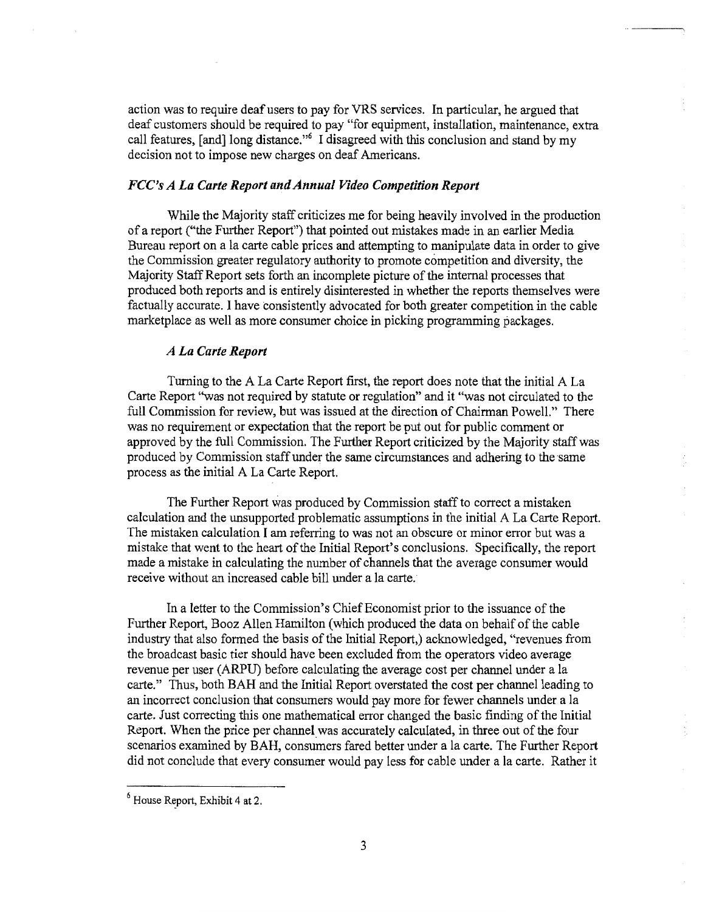action was to require deaf users to pay for VRS services. In particular, he argued that deaf customers should be required to pay "for equipment, installation, maintenance, extra call features, [and] long distance."6 I disagreed with this conclusion and stand by my decision not to impose new charges on deaf Americans.

## *FCC's A La Carte Report and Annual Video Competition Report*

While the Majority staff criticizes me for being heavily involved in the production of a report ("the Further Report") that pointed out mistakes made in an earlier Media Bureau report on a la carte cable prices and attempting to manipulate data in order to give the Commission greater regulatory authority to promote competition and diversity, the Majority Staff Report sets forth an incomplete picture of the internal processes that produced both reports and is entirely disinterested in whether the reports themselves were factually accurate. I have consistently advocated for both greater competition in the cable marketplace as well as more consumer choice in picking programming packages.

#### *A La Carte Report*

Turning to the A La Carte Report first, the report does note that the initial A La Carte Report ''was not required by statute or regulation" and it "was not circulated to the full Commission for review, but was issued at the direction of Chairman Powell." There was no requirement or expectation that the report be put out for public comment or approved by the full Commission. The Further Report criticized by the Majority staff was produced by Commission staff under the same circumstances and adhering to the same process as the initial A La Carte Report.

The Further Report was produced by Commission staff to correct a mistaken calculation and the unsupported problematic assumptions in the initial A La Carte Report. The mistaken calculation I am referring to was not an obscure or minor error but was a mistake that went to the heart of the Initial Report's conclusions. Specifically, the report made a mistake in calculating the number of channels that the average consumer would receive without an increased cable bill under a la carte.

In a letter to the Commission's Chief Economist prior to the issuance of the Further Report, Booz Allen Hamilton (which produced the data on behalf of the cable industry that also formed the basis of the Initial Report,) acknowledged, "revenues from the broadcast basic tier should have been excluded from the operators video average revenue per user (ARPU) before calculating the average cost per channel under a la carte." Thus, both BAH and the Initial Report overstated the cost per channel leading to an incorrect conclusion that consumers would pay more for fewer channels under a la carte. Just correcting this one mathematical error changed the basic finding of the Initial Report. When the price per channel was accurately calculated, in three out of the four scenarios examined by BAH, consumers fared better under a la carte. The Further Report did not conclude that every consumer would pay less for cable under a la carte. Rather it

 $<sup>6</sup>$  House Report, Exhibit 4 at 2.</sup>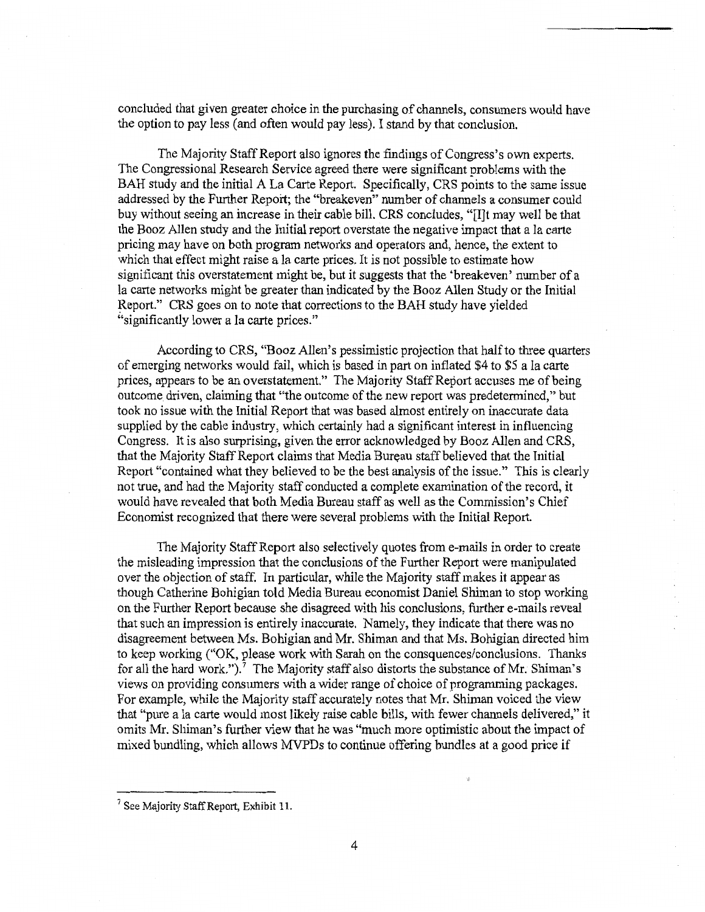concluded that given greater choice in the purchasing of channels, consumers would have the option to pay less (and often would pay less). I stand by that conclusion.

The Majority Staff Report also ignores the findings of Congress's own experts. The Congressional Research Service agreed there were significant problems with the BAH study and the initial A La Carte Report. Specifically, CRS points to the same issue addressed by the Further Report; the "breakeven" number of channels a consumer could buy without seeing an increase in their cable bill. CRS concludes, "[I]t may we11 be that the Booz Allen study and the Initial report overstate the negative impact that a la carte pricing may have on both program networks and operators and, hence, the extent to which that effect might raise a la carte prices. It is not possible to estimate how significant this overstatement might be, but it suggests that the 'breakeven' number of a la carte networks might be greater than indicated by the Booz Allen Study or the Initial Report." CRS goes on to note that corrections to the BAH study have yielded "significantly lower a la carte prices."

According to CRS, "Booz Allen's pessimistic projection that half to three quarters of emerging networks would fail, which is based in part on inflated \$4 to \$5 a la carte prices, appears to be an overstatement." The Majority Staff Report accuses me of being outcome driven, claiming that "the outcome of the new report was predetermined," but took no issue with the Initial Report that was based almost entirely on inaccurate data supplied by the cable industry, which certainly had a significant interest in influencing Congress. It is also surprising, given the error acknowledged by Booz Allen and CRS, that the Majority Staff Report claims that Media Bureau staff believed that the Initial Report "contained what they believed to be the best analysis of the issue." This is clearly not true, and had the Majority staff conducted a complete examination of the record, it would have revealed that both Media Bureau staff as well as the Commission's Chief Economist recognized that there were several problems with the Initial Report.

The Majority Staff Report also selectively quotes from e-mails in order to create the misleading impression that the conclusions of the Further Report were manipulated over the objection of staff. In particular, while the Majority staff makes it appear as though Catherine Bohigian told Media Bureau economist Daniel Shiman to stop working on the Further Report because she disagreed with his conclusions, further e-mails reveal that such an impression is entirely inaccurate. Namely, they indicate that there was no disagreement between Ms. Bohigian and Mr. Shiman and that Ms. Bohigian directed him to keep working ("OK, please work with Sarah on the consquences/conclusions. Thanks for all the hard work.").<sup>7</sup> The Majority staff also distorts the substance of Mr. Shiman's views on providing consumers with a wider range of choice of programming packages. For example, while the Majority staff accurately notes that Mr. Shiman voiced the view that "pure a la carte would most likely raise cable bills, with fewer channels delivered," it omits Mr. Shiman's further view that he was "much more optimistic about the impact of mixed bundling, which allows MVPDs to continue offering bundles at a good price if

 $<sup>7</sup>$  See Majority Staff Report, Exhibit 11.</sup>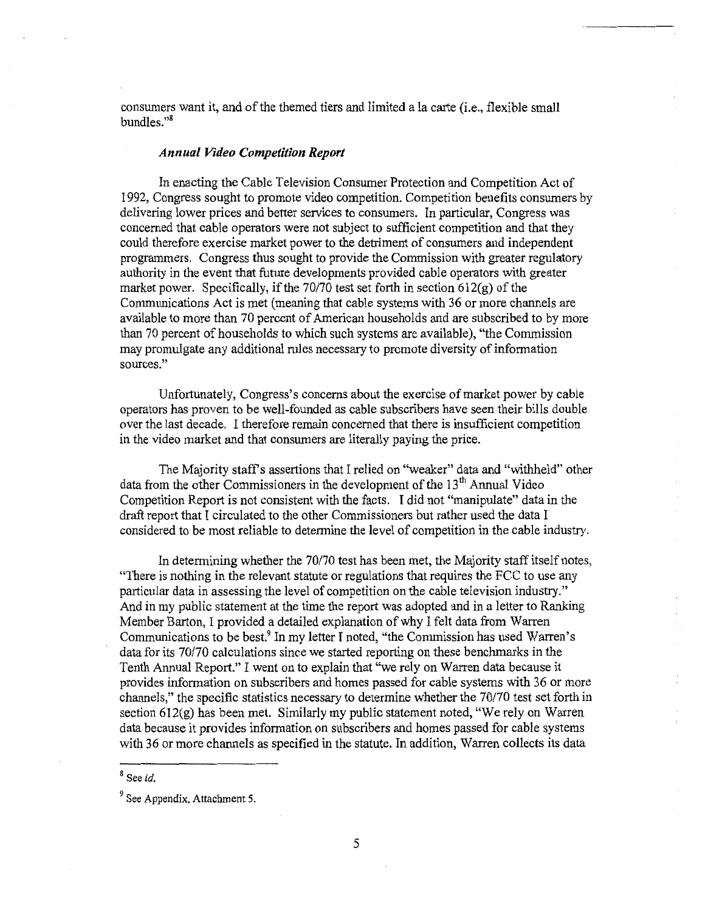conswners want it, and of the themed tiers and limited a la carte (i.e., flexible small bundles."<sup>8</sup>

## *Annual Video Competition Report*

In enacting the Cable Television Consumer Protection and Competition Act of 1992, Congress sought to promote video competition. Competition benefits consumers by delivering lower prices and better services to consumers. In particular, Congress was concerned that cable operators were not subject to sufficient competition and that they could therefore exercise market power to the detriment of consumers and independent programmers. Congress thus sought to provide the Commission with greater regulatory authority in the event that future developments provided cable operators with greater market power. Specifically, if the 70/70 test set forth in section 612(g) of the Communications Act is met (meaning that cable systems with 36 or more channels are available to more than 70 percent of American households and are subscribed to by more than 70 percent of households to which such systems are available). "the Commission may promulgate any additional rules necessary to promote diversity of information sources."

Unfortunately, Congress's concerns about the exercise of market power by cable operators has proven to be well-founded as cable subscribers have seen their bills double over the last decade. I therefore remain concerned that there is insufficient competition in the video market and that consumers are literally paying the price.

The Majority staff's assertions that I relied on "weaker" data and "withheld" other data from the other Commissioners in the development of the  $13<sup>th</sup>$  Annual Video Competition Report is not consistent with the facts. I did not "manipulate" data in the draft report that I circulated to the other Commissioners but rather used the data I considered to be most reliable to determine the level of competition in the cable industry.

In determining whether the 70/70 test has been met, the Majority staff itself notes, "There is nothing in the relevant statute or regulations that requires the FCC to use any particular data in assessing the level of competition on the cable television industry." And in my public statement at the time the report was adopted and in a letter to Ranking Member Barton, I provided a detailed explanation of why I felt data from Warren Communications to be best.9 In my letter I noted, "the Commission has used Warren's data for its 70/70 calculations since we started reporting on these benchmarks in the Tenth Annual Report." I went on to explain that "we rely on Warren data because it provides information on subscribers and homes passed for cable systems with 36 or more channels," the specific statistics necessary to determine whether the 70/70 test set forth in section 612(g) has been met. Similarly my public statement noted, "We rely on Warren data because it provides information on subscribers and homes passed for cable systems with 36 or more channels as specified in the statute. In addition, Warren collects its data

<sup>8</sup> See *id.* 

 $<sup>9</sup>$  See Appendix, Attachment 5.</sup>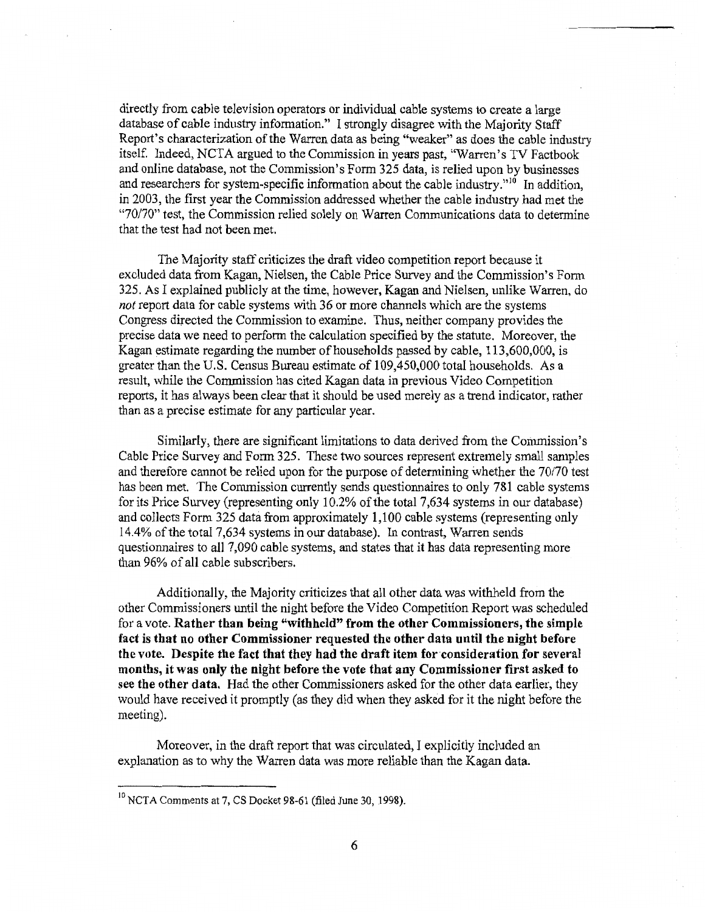directly from cable television operators or individual cable systems to create a large database of cable industry information." I strongly disagree with the Majority Staff Report's characterization of the Warren data as being "weaker'' as does the cable industry itself. Indeed, NCTA argued to the Commission in years past, "Warren's TV Factbook and online database, not the Commission's Form 325 data, is relied upon by businesses and researchers for system-specific information about the cable industry."<sup>10</sup> In addition, in 2003, the first year the Commission addressed whether the cable industry had met the *"70170"* test, the Commission relied solely on Warren Communications data to determine that the test had not been met.

The Majority staff criticizes the draft video competition report because it excluded data from Kagan, Nielsen, the Cable Price Survey and the Commission's Form 325. As I explained publicly at the time, however, Kagan and Nielsen, unlike Warren, do *not* report data for cable systems with 36 or more channels which are the systems Congress directed the Commission to examine. Thus, neither company provides the precise data we need to perform the calculation specified by the statute. Moreover, the Kagan estimate regarding the number of households passed by cable, 113,600,000, is greater than the U.S. Census Bureau estimate of 109 ,450,000 total households. As a result, while the Commission has cited Kagan data in previous Video Competition reports, it has always been clear that it should be used merely as a trend indicator, rather than as a precise estimate for any particular year.

Similarly. there are significant limitations to data derived from the Commission's Cable Price Survey and Form 325. These two sources represent extremely small samples and therefore cannot be relied upon for the purpose of determining whether the 70/70 test has been met. The Commission currently sends questionnaires to only 781 cable systems for its Price Survey (representing only 10.2% of the total 7,634 systems in our database) and collects Form 325 data from approximately 1,100 cable systems (representing only 14.4% of the total 7,634 systems in our database). In contrast, Warren sends questionnaires to all 7,090 cable systems, and states that it has data representing more than 96% of all cable subscribers.

Additionally, the Majority criticizes that all other data was withheld from the other Commissioners until the night before the Video Competition Report was scheduled for a vote. Rather than being "withheld" from the other Commissioners, the simple fact is that no other Commissioner requested the other data until the night before the vote. Despite the fact that they had the draft item for consideration for several months, it was only the night before the vote that any Commissioner first asked to see the other data. Had the other Commissioners asked for the other data earlier, they would have received it promptly (as they did when they asked for it the night before the meeting).

Moreover, in the draft report that was circulated, I explicitly included an explanation as to why the Warren data was more reliable than the Kagan data.

 $10$  NCTA Comments at 7, CS Docket 98-61 (filed June 30, 1998).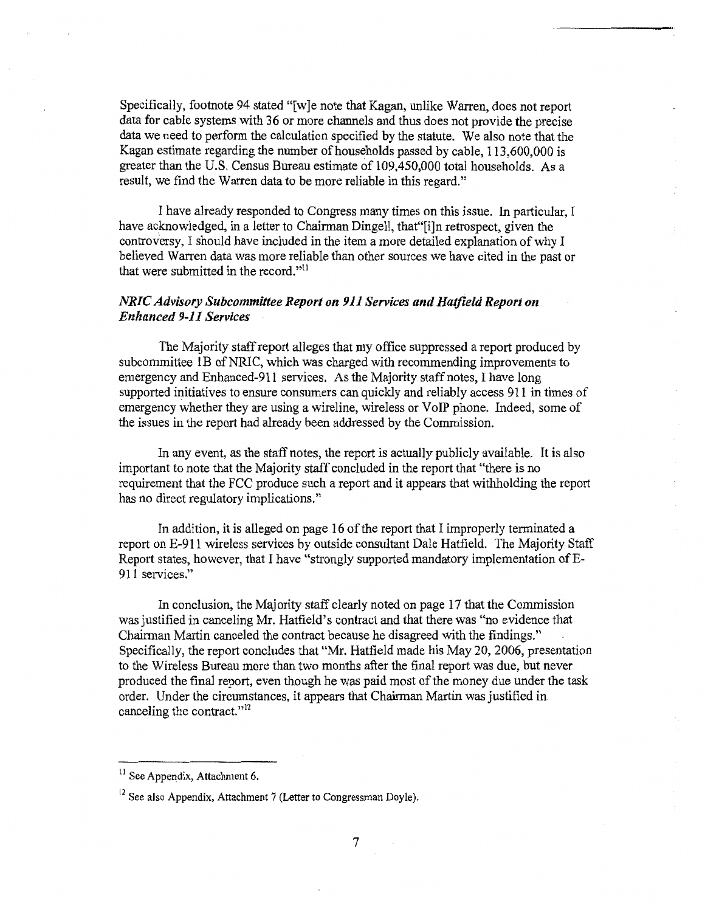Specifically, footnote 94 stated "[w}e note that Kagan, unlike Warren, does not report data for cable systems with 36 or more channels and thus does not provide the precise data we need to perform the calculation specified by the statute. We also note that the Kagan estimate regarding the number of households passed by cable, 113,600,000 is greater than the U.S. Census Bureau estimate of 109,450,000 total households. As a result, we find the Warren data to be more reliable in this regard."

I have already responded to Congress many times on this issue. In particular, I have acknowledged, in a letter to Chairman Dingell, that"[i]n retrospect, given the controversy, I should have included in the item a more detailed explanation of why I believed Warren data was more reliable than other sources we have cited in the past or that were submitted in the record."<sup>11</sup>

## *NRIC Advisory Subcommittee Report on 911 Services and Hatfield Report on Enhanced 9-11 Services*

The Majority staffreport alleges that my office suppressed a report produced by subcommittee lB of NRIC, which was charged with recommending improvements to emergency and Enhanced-911 services. As the Majority staff notes, I have long supported initiatives to ensure consumers can quickly and reliably access 911 in times of emergency whether they are using a wireline, wireless or VoIP phone. Indeed, some of the issues in the report had already been addressed by the Commission.

In any event, as the staff notes, the report is actually publicly available. It is also important to note that the Majority staff concluded in the report that "there is no requirement that the FCC produce such a report and it appears that withholding the report has no direct regulatory implications."

In addition, it is alleged on page 16 of the report that I improperly terminated a report on E-911 wireless services by outside consultant Dale Hatfield. The Majority Staff Report states, however, that I have "strongly supported mandatory implementation of E-911 services."

In conclusion, the Majority staff clearly noted on page 17 that the Commission was justified in canceling Mr. Hatfield's contract and that there was "no evidence that Chairman Martin canceled the contract because he disagreed with the findings." Specifically, the report concludes that "Mr. Hatfield made his May 20, 2006, presentation to the Wireless Bureau more than two months after the final report was due, but never produced the final report, even though he was paid most of the money due under the task order. Under the circumstances, it appears that Chairman Martin was justified in canceling the contract."<sup>12</sup>

 $11$  See Appendix, Attachment 6.

 $12$  See also Appendix, Attachment 7 (Letter to Congressman Doyle).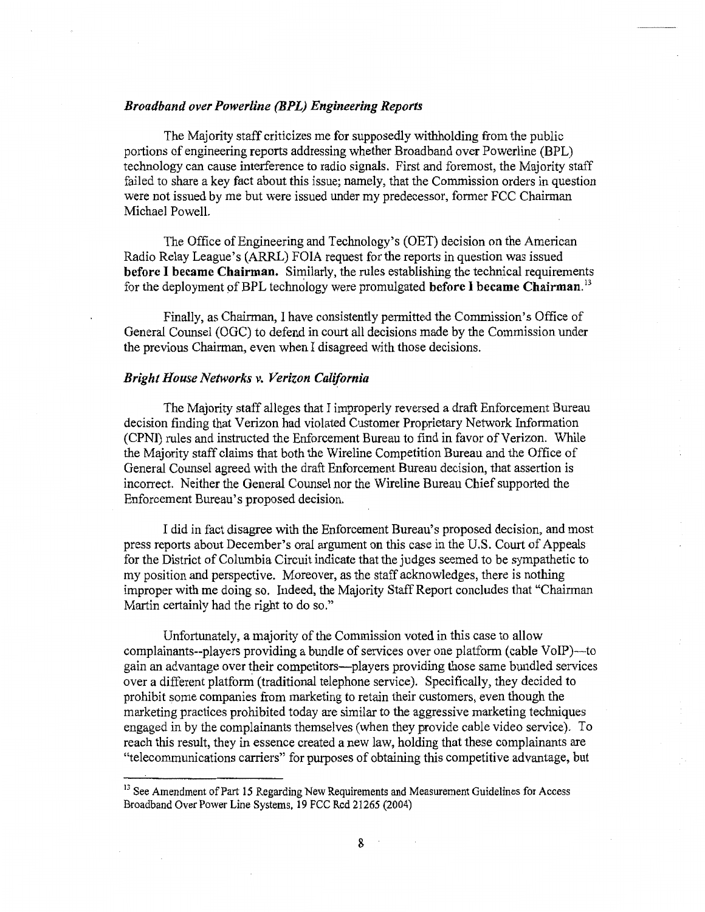## *Broadband over Powerline (BPL) Engineering Reports*

The Majority staff criticizes me for supposedly withholding from the public portions of engineering reports addressing whether Broadband over Powerline (BPL) technology can cause interference to radio signals. First and foremost, the Majority staff failed to share a key fact about this issue; namely, that the Commission orders in question were not issued by me but were issued under my predecessor, former FCC Chairman Michael Powell.

The Office of Engineering and Technology's (OET) decision on the American Radio Relay League's (ARRL) FOIA request for the reports in question was issued before I became Chairman. Similarly, the rules establishing the technical requirements for the deployment of BPL technology were promulgated before I became Chairman.<sup>13</sup>

Finally, as Chairman, I have consistently permitted the Commission's Office of General Counsel (OGC) to defend in court all decisions made by the Commission under the previous Chairman, even when I disagreed with those decisions.

#### *Bright House Networks v. Verizon California*

The Majority staff alleges that I improperly reversed a draft Enforcement Bureau decision finding that Verizon had violated Customer Proprietary Network Information (CPNI) rules and instructed the Enforcement Bureau to find in favor of Verizon. While the Majority staff claims that both the Wireline Competition Bureau and the Office of General Counsel agreed with the draft Enforcement Bureau decision, that assertion is incorrect. Neither the General Counsel nor the Wireline Bureau Chief supported the Enforcement Bureau's proposed decision.

I did in fact disagree with the Enforcement Bureau's proposed decision, and most press reports about December's oral argument on this case in the U.S. Court of Appeals for the District of Columbia Circuit indicate that the judges seemed to be sympathetic to my position and perspective. Moreover, as the staff acknowledges, there is nothing improper with me doing so. Indeed, the Majority Staff Report concludes that "Chairman Martin certainly had the right to do so."

Unfortunately, a majority of the Commission voted in this case to allow complainants--players providing a bundle of services over one platform (cable VoIP)—to gain an advantage over their competitors-players providing those same bundled services over a different platform (traditional telephone service). Specifically, they decided to prohibit some companies from marketing to retain their customers, even though the marketing practices prohibited today are similar to the aggressive marketing techniques engaged in by the complainants themselves (when they provide cable video service). To reach this result, they in essence created a new law, holding that these complainants are "telecommunications carriers" for purposes of obtaining this competitive advantage, but

<sup>&</sup>lt;sup>13</sup> See Amendment of Part 15 Regarding New Requirements and Measurement Guidelines for Access Broadband Over Power Line Systems, 19 FCC Red 21265 (2004)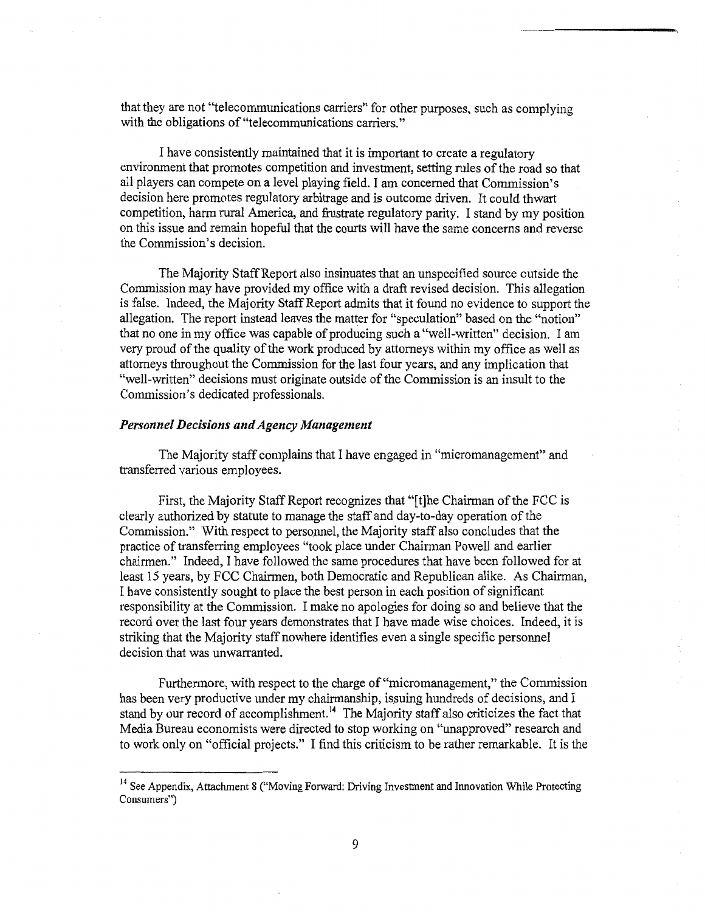that they are not "telecommunications carriers" for other purposes, such as complying with the obligations of "telecommunications carriers."

I have consistently maintained that it is important to create a regulatory environment that promotes competition and investment, setting rules of the road so that all players can compete on a level playing field. I am concerned that Commission's decision here promotes regulatory arbitrage and is outcome driven. It could thwart competition, harm rural America, and frustrate regulatory parity. I stand by my position on this issue and remain hopeful that the courts will have the same concerns and reverse the Commission's decision.

The Majority Staff Report also insinuates that an unspecified source outside the Commission may have provided my office with a draft revised decision. This allegation is false. Indeed, the Majority Staff Report admits that it found no evidence to support the allegation. The report instead leaves the matter for "speculation" based on the "notion" that no one in my office was capable of producing such a "well-written" decision. I am very proud of the quality of the work produced by attorneys within my office as well as attorneys throughout the Commission for the last four years, and any implication that "well-written" decisions must originate outside of the Commission is an insult to the Commission's dedicated professionals.

## *Personnel Decisions and Agency Management*

The Majority staff complains that I have engaged in "micromanagement" and transferred various employees.

First, the Majority Staff Report recognizes that "[t]he Chairman of the FCC is clearly authorized by statute to manage the staff and day-to-day operation of the Commission." With respect to personnel, the Majority staff also concludes that the practice of transferring employees "took place under Chairman Powell and earlier chairmen." Indeed, I have followed the same procedures that have been followed for at least 15 years, by FCC Chairmen, both Democratic and Republican alike. As Chairman, I have consistently sought to place the best person in each position of significant responsibility at the Commission. I make no apologies for doing so and believe that the record over the last four years demonstrates that I have made wise choices. Indeed, it is striking that the Majority staff nowhere identifies even a single specific personnel decision that was unwarranted.

Furthermore, with respect to the charge of "micromanagement," the Commission has been very productive under my chairmanship, issuing hundreds of decisions, and I stand by our record of accomplishment.<sup>14</sup> The Majority staff also criticizes the fact that Media Bureau economists were directed to stop working on "unapproved" research and to work only on "official projects." I find this criticism to be rather remarkable. It is the

<sup>&</sup>lt;sup>14</sup> See Appendix, Attachment 8 ("Moving Forward: Driving Investment and Innovation While Protecting Consumers")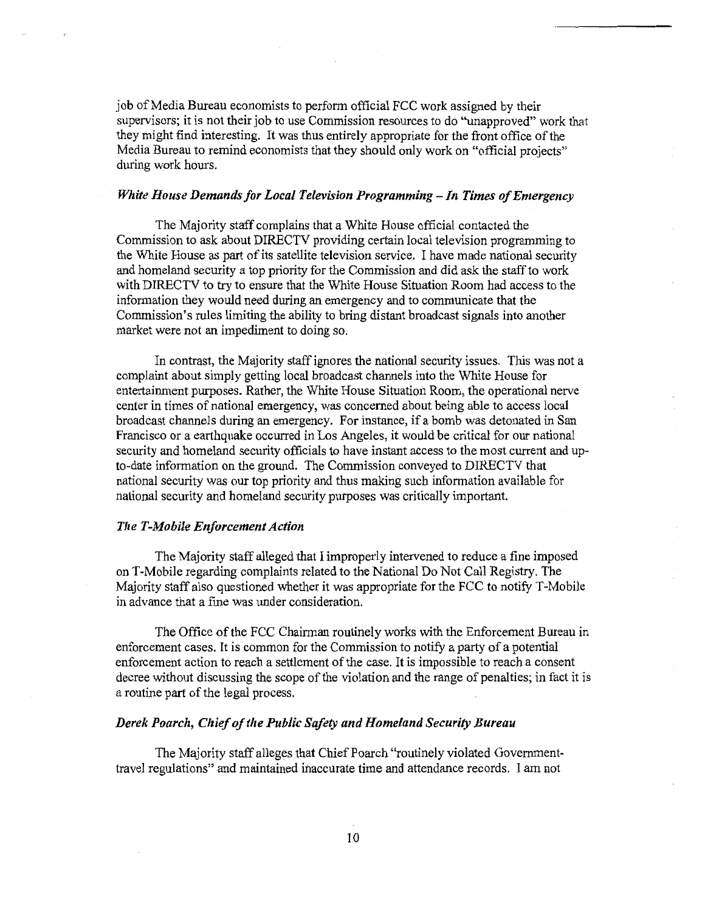job of Media Bureau economists to perform official FCC work assigned by their supervisors; it is not their job to use Commission resources to do "unapproved" work that they might find interesting. It was thus entirely appropriate for the front office of the Media Bureau to remind economists that they should only work on "official projects" during work hours.

## *White House Demands for Local Television Programming* - *In Times of Emergency*

The Majority staff complains that a White House official contacted the Commission to ask about DIRECTV providing certain local television programming to the White House as part of its satellite television service. I have made national security and homeland security a top priority for the Commission and did ask the staff to work with DIRECTV to try to ensure that the White House Situation Room had access to the information they would need during an emergency and to communicate that the Commission's rules limiting the ability to bring distant broadcast signals into another market were not an impediment to doing so.

In contrast, the Majority staff ignores the national security issues. This was not a complaint about simply getting local broadcast channels into the White House for entertainment purposes. Rather, the White House Situation Room, the operational nerve center in times of national emergency, was concerned about being able to access local broadcast channels during an emergency. For instance, if a bomb was detonated in San Francisco or a earthquake occurred in Los Angeles, it would be critical for our national security and homeland security officials to have instant access to the most current and upto-date information on the ground. The Commission conveyed to DIRECTV that national security was our top priority and thus making such information available for national security and homeland security purposes was critically important.

## *The T-Mobile Enforcement Action*

The Majority staff alleged that I improperly intervened to reduce a fine imposed on T-Mobile regarding complaints related to the National Do Not Call Registry. The Majority staff also questioned whether it was appropriate for the FCC to notify T-Mobile in advance that a fine was under consideration.

The Office of the FCC Chairman routinely works with the Enforcement Bureau in enforcement cases. It is common for the Commission to notify a party of a potential enforcement action to reach a settlement of the case. It is impossible to reach a consent decree without discussing the scope of the violation and the range of penalties; in fact it is a routine part of the legal process.

## *Derek Poarch, Chief of the Public Safety and Homeland Security Bureau*

The Majority staff alleges that Chief Poarch "routinely violated Governmenttravel regulations" and maintained inaccurate time and attendance records. I am not